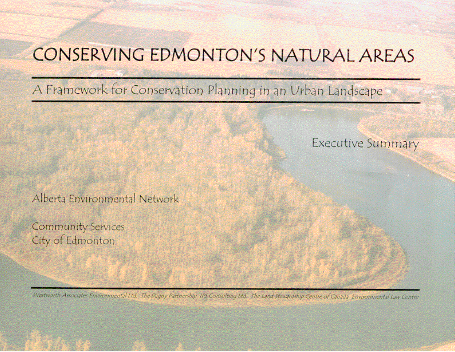# CONSERVING EDMONTON'S NATURAL AREAS

A Framework for Conservation Planning in an Urban Landscape

Alberta Environmental Network

**Community Services** City of Edmonton

**Executive Summary** 

Westworth Associates Environmental Ltd. The Dagny Partnership 1PS Consulting Ltd. The Land Stewardship Centre of Canada Environmental Law Centre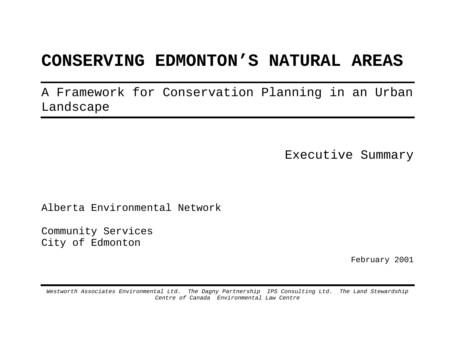# **CONSERVING EDMONTON'S NATURAL AREAS**

<sup>A</sup> Framework for Conservation Planning in an Urban Landscape

Executive Summary

Alberta Environmental Network

Community Services City of Edmonton

February 2001

Westworth Associates Environmental Ltd. The Dagny Partnership IPS Consulting Ltd. The Land Stewardship Centre of Canada Environmental Law Centre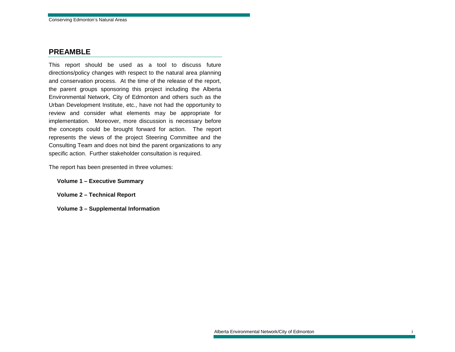# **PREAMBLE**

This report should be used as a tool to discuss future directions/policy changes with respect to the natural area planning and conservation process. At the time of the release of the report, the parent groups sponsoring this project including the Alberta Environmental Network, City of Edmonton and others such as the Urban Development Institute, etc., have not had the opportunity to review and consider what elements may be appropriate for implementation. Moreover, more discussion is necessary before the concepts could be brought forward for action. The report represents the views of the project Steering Committee and the Consulting Team and does not bind the parent organizations to any specific action. Further stakeholder consultation is required.

The report has been presented in three volumes:

**Volume 1 – Executive Summary**

**Volume 2 – Technical Report**

**Volume 3 – Supplemental Information**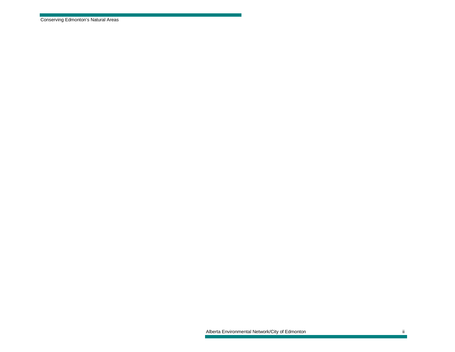Conserving Edmonton's Natural Areas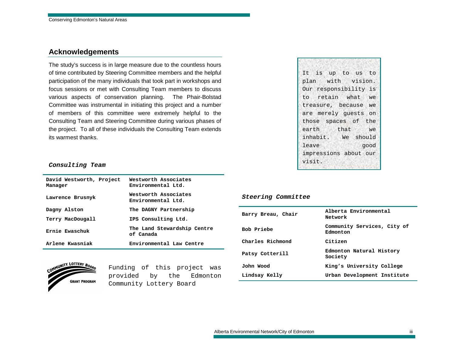# **Acknowledgements**

The study's success is in large measure due to the countless hours of time contributed by Steering Committee members and the helpful participation of the many individuals that took part in workshops and focus sessions or met with Consulting Team members to discuss various aspects of conservation planning. The Phair-Bolstad Committee was instrumental in initiating this project and a number of members of this committee were extremely helpful to the Consulting Team and Steering Committee during various phases of the project. To all of these individuals the Consulting Team extends its warmest thanks.

#### **Consulting Team**

| David Westworth, Project<br>Manager | Westworth Associates<br>Environmental Ltd. |
|-------------------------------------|--------------------------------------------|
| Lawrence Brusnyk                    | Westworth Associates<br>Environmental Ltd. |
| Dagny Alston                        | The DAGNY Partnership                      |
| Terry MacDougall                    | IPS Consulting Ltd.                        |
| Ernie Ewaschuk                      | The Land Stewardship Centre<br>of Canada   |
| Arlene Kwasniak                     | Environmental Law Centre                   |



Funding of this project was provided by the Edmonton Community Lottery Board

It is up to us to plan with vision. Our responsibility is to retain what we treasure, because we are merely guests on those spaces of the earth that we inhabit. We should leave good impressions about our visit.

#### **Steering Committee**

| Barry Breau, Chair | Alberta Environmental<br>Network        |  |
|--------------------|-----------------------------------------|--|
| Bob Priebe         | Community Services, City of<br>Edmonton |  |
| Charles Richmond   | Citizen                                 |  |
| Patsy Cotterill    | Edmonton Natural History<br>Society     |  |
| John Wood          | King's University College               |  |
| Lindsay Kelly      | Urban Development Institute             |  |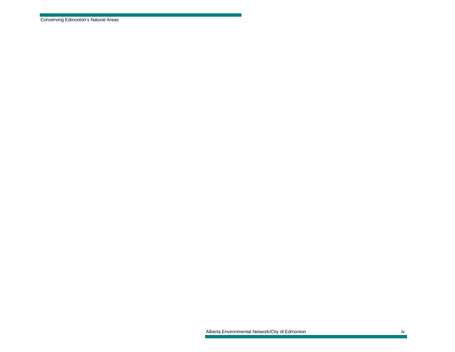Conserving Edmonton's Natural Areas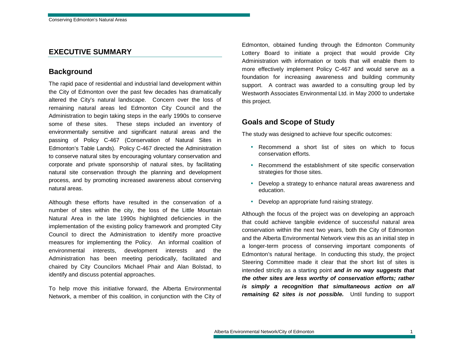# **EXECUTIVE SUMMARY**

# **Background**

The rapid pace of residential and industrial land development within the City of Edmonton over the past few decades has dramatically altered the City's natural landscape. Concern over the loss of remaining natural areas led Edmonton City Council and the Administration to begin taking steps in the early 1990s to conserve some of these sites. These steps included an inventory of environmentally sensitive and significant natural areas and the passing of Policy C-467 (Conservation of Natural Sites in Edmonton's Table Lands). Policy C-467 directed the Administration to conserve natural sites by encouraging voluntary conservation and corporate and private sponsorship of natural sites, by facilitating natural site conservation through the planning and development process, and by promoting increased awareness about conserving natural areas.

Although these efforts have resulted in the conservation of a number of sites within the city, the loss of the Little Mountain Natural Area in the late 1990s highlighted deficiencies in the implementation of the existing policy framework and prompted City Council to direct the Administration to identify more proactive measures for implementing the Policy. An informal coalition of environmental interests, development interests and the Administration has been meeting periodically, facilitated and chaired by City Councilors Michael Phair and Alan Bolstad, to identify and discuss potential approaches.

To help move this initiative forward, the Alberta Environmental Network, a member of this coalition, in conjunction with the City of

Edmonton, obtained funding through the Edmonton Community Lottery Board to initiate a project that would provide City Administration with information or tools that will enable them to more effectively implement Policy C-467 and would serve as a foundation for increasing awareness and building community support. A contract was awarded to a consulting group led by Westworth Associates Environmental Ltd. in May 2000 to undertake this project.

# **Goals and Scope of Study**

The study was designed to achieve four specific outcomes:

- Recommend a short list of sites on which to focus conservation efforts.
- Recommend the establishment of site specific conservation strategies for those sites.
- Develop a strategy to enhance natural areas awareness and education.
- Develop an appropriate fund raising strategy.

Although the focus of the project was on developing an approach that could achieve tangible evidence of successful natural area conservation within the next two years, both the City of Edmonton and the Alberta Environmental Network view this as an initial step in a longer-term process of conserving important components of Edmonton's natural heritage. In conducting this study, the project Steering Committee made it clear that the short list of sites is intended strictly as a starting point *and in no way suggests that the other sites are less worthy of conservation efforts; rather is simply a recognition that simultaneous action on all remaining 62 sites is not possible.* Until funding to support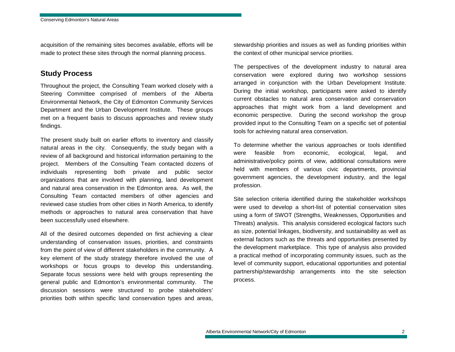acquisition of the remaining sites becomes available, efforts will be made to protect these sites through the normal planning process.

# **Study Process**

Throughout the project, the Consulting Team worked closely with a Steering Committee comprised of members of the Alberta Environmental Network, the City of Edmonton Community Services Department and the Urban Development Institute. These groups met on a frequent basis to discuss approaches and review study findings.

The present study built on earlier efforts to inventory and classify natural areas in the city. Consequently, the study began with a review of all background and historical information pertaining to the project. Members of the Consulting Team contacted dozens of individuals representing both private and public sector organizations that are involved with planning, land development and natural area conservation in the Edmonton area. As well, the Consulting Team contacted members of other agencies and reviewed case studies from other cities in North America, to identify methods or approaches to natural area conservation that have been successfully used elsewhere.

All of the desired outcomes depended on first achieving a clear understanding of conservation issues, priorities, and constraints from the point of view of different stakeholders in the community. A key element of the study strategy therefore involved the use of workshops or focus groups to develop this understanding. Separate focus sessions were held with groups representing the general public and Edmonton's environmental community. The discussion sessions were structured to probe stakeholders' priorities both within specific land conservation types and areas,

stewardship priorities and issues as well as funding priorities within the context of other municipal service priorities.

The perspectives of the development industry to natural area conservation were explored during two workshop sessions arranged in conjunction with the Urban Development Institute. During the initial workshop, participants were asked to identify current obstacles to natural area conservation and conservation approaches that might work from a land development and economic perspective. During the second workshop the group provided input to the Consulting Team on a specific set of potential tools for achieving natural area conservation.

To determine whether the various approaches or tools identified were feasible from economic, ecological, legal, and administrative/policy points of view, additional consultations were held with members of various civic departments, provincial government agencies, the development industry, and the legal profession.

Site selection criteria identified during the stakeholder workshops were used to develop a short-list of potential conservation sites using a form of SWOT (Strengths, Weaknesses, Opportunities and Threats) analysis. This analysis considered ecological factors such as size, potential linkages, biodiversity, and sustainability as well as external factors such as the threats and opportunities presented by the development marketplace. This type of analysis also provided a practical method of incorporating community issues, such as the level of community support, educational opportunities and potential partnership/stewardship arrangements into the site selection process.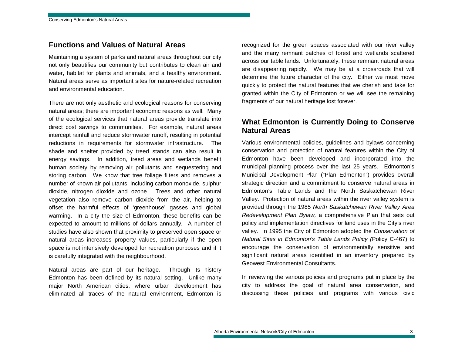# **Functions and Values of Natural Areas**

Maintaining a system of parks and natural areas throughout our city not only beautifies our community but contributes to clean air and water, habitat for plants and animals, and a healthy environment. Natural areas serve as important sites for nature-related recreation and environmental education.

There are not only aesthetic and ecological reasons for conserving natural areas; there are important economic reasons as well. Many of the ecological services that natural areas provide translate into direct cost savings to communities. For example, natural areas intercept rainfall and reduce stormwater runoff, resulting in potential reductions in requirements for stormwater infrastructure. The shade and shelter provided by treed stands can also result in energy savings. In addition, treed areas and wetlands benefit human society by removing air pollutants and sequestering and storing carbon. We know that tree foliage filters and removes a number of known air pollutants, including carbon monoxide, sulphur dioxide, nitrogen dioxide and ozone. Trees and other natural vegetation also remove carbon dioxide from the air, helping to offset the harmful effects of 'greenhouse' gasses and global warming. In a city the size of Edmonton, these benefits can be expected to amount to millions of dollars annually. A number of studies have also shown that proximity to preserved open space or natural areas increases property values, particularly if the open space is not intensively developed for recreation purposes and if it is carefully integrated with the neighbourhood.

Natural areas are part of our heritage. Through its history Edmonton has been defined by its natural setting. Unlike many major North American cities, where urban development has eliminated all traces of the natural environment, Edmonton is recognized for the green spaces associated with our river valley and the many remnant patches of forest and wetlands scattered across our table lands. Unfortunately, these remnant natural areas are disappearing rapidly. We may be at a crossroads that will determine the future character of the city. Either we must move quickly to protect the natural features that we cherish and take for granted within the City of Edmonton or we will see the remaining fragments of our natural heritage lost forever.

# **What Edmonton is Currently Doing to Conserve Natural Areas**

Various environmental policies, guidelines and bylaws concerning conservation and protection of natural features within the City of Edmonton have been developed and incorporated into the municipal planning process over the last 25 years. Edmonton's Municipal Development Plan ("Plan Edmonton") provides overall strategic direction and a commitment to conserve natural areas in Edmonton's Table Lands and the North Saskatchewan River Valley. Protection of natural areas within the river valley system is provided through the 1985 *North Saskatchewan River Valley Area Redevelopment Plan Bylaw,* a comprehensive Plan that sets out policy and implementation directives for land uses in the City's river valley. In 1995 the City of Edmonton adopted the *Conservation of Natural Sites in Edmonton's Table Lands Policy (*Policy C-467) to encourage the conservation of environmentally sensitive and significant natural areas identified in an inventory prepared by Geowest Environmental Consultants.

In reviewing the various policies and programs put in place by the city to address the goal of natural area conservation, and discussing these policies and programs with various civic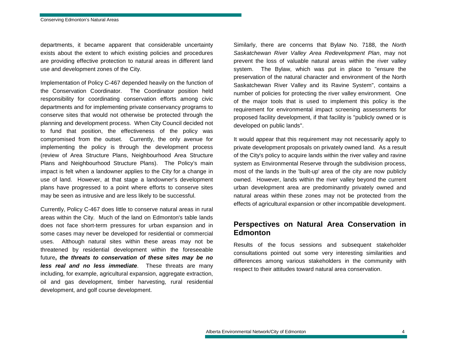departments, it became apparent that considerable uncertainty exists about the extent to which existing policies and procedures are providing effective protection to natural areas in different land use and development zones of the City.

Implementation of Policy C-467 depended heavily on the function of the Conservation Coordinator. The Coordinator position held responsibility for coordinating conservation efforts among civic departments and for implementing private conservancy programs to conserve sites that would not otherwise be protected through the planning and development process. When City Council decided not to fund that position, the effectiveness of the policy was compromised from the outset. Currently, the only avenue for implementing the policy is through the development process (review of Area Structure Plans, Neighbourhood Area Structure Plans and Neighbourhood Structure Plans). The Policy's main impact is felt when a landowner applies to the City for a change in use of land. However, at that stage a landowner's development plans have progressed to a point where efforts to conserve sites may be seen as intrusive and are less likely to be successful.

Currently, Policy C-467 does little to conserve natural areas in rural areas within the City. Much of the land on Edmonton's table lands does not face short-term pressures for urban expansion and in some cases may never be developed for residential or commercial uses. Although natural sites within these areas may not be threatened by residential development within the foreseeable future**,** *the threats to conservation of these sites may be no less real and no less immediate*. These threats are many including, for example, agricultural expansion, aggregate extraction, oil and gas development, timber harvesting, rural residential development, and golf course development.

Similarly, there are concerns that Bylaw No. 7188, the *North Saskatchewan River Valley Area Redevelopment Plan*, may not prevent the loss of valuable natural areas within the river valley system. The Bylaw, which was put in place to "ensure the preservation of the natural character and environment of the North Saskatchewan River Valley and its Ravine System", contains a number of policies for protecting the river valley environment. One of the major tools that is used to implement this policy is the requirement for environmental impact screening assessments for proposed facility development, if that facility is "publicly owned or is developed on public lands".

It would appear that this requirement may not necessarily apply to private development proposals on privately owned land. As a result of the City's policy to acquire lands within the river valley and ravine system as Environmental Reserve through the subdivision process, most of the lands in the 'built-up' area of the city are now publicly owned. However, lands within the river valley beyond the current urban development area are predominantly privately owned and natural areas within these zones may not be protected from the effects of agricultural expansion or other incompatible development.

# **Perspectives on Natural Area Conservation in Edmonton**

Results of the focus sessions and subsequent stakeholder consultations pointed out some very interesting similarities and differences among various stakeholders in the community with respect to their attitudes toward natural area conservation.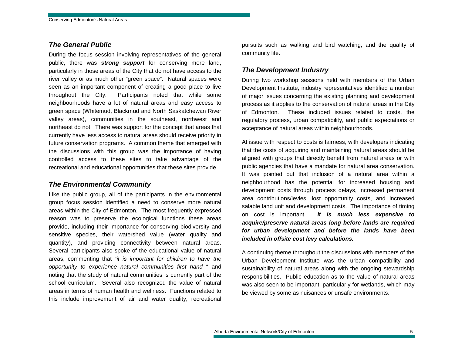### *The General Public*

During the focus session involving representatives of the general public, there was *strong support* for conserving more land, particularly in those areas of the City that do not have access to the river valley or as much other "green space". Natural spaces were seen as an important component of creating a good place to live throughout the City. Participants noted that while some neighbourhoods have a lot of natural areas and easy access to green space (Whitemud, Blackmud and North Saskatchewan River valley areas), communities in the southeast, northwest and northeast do not. There was support for the concept that areas that currently have less access to natural areas should receive priority in future conservation programs. A common theme that emerged with the discussions with this group was the importance of having controlled access to these sites to take advantage of the recreational and educational opportunities that these sites provide.

# *The Environmental Community*

Like the public group, all of the participants in the environmental group focus session identified a need to conserve more natural areas within the City of Edmonton. The most frequently expressed reason was to preserve the ecological functions these areas provide, including their importance for conserving biodiversity and sensitive species, their watershed value (water quality and quantity), and providing connectivity between natural areas. Several participants also spoke of the educational value of natural areas, commenting that "*it is important for children to have the opportunity to experience natural communities first hand* " and noting that the study of natural communities is currently part of the school curriculum. Several also recognized the value of natural areas in terms of human health and wellness. Functions related to this include improvement of air and water quality, recreational

pursuits such as walking and bird watching, and the quality of community life.

### *The Development Industry*

During two workshop sessions held with members of the Urban Development Institute, industry representatives identified a number of major issues concerning the existing planning and development process as it applies to the conservation of natural areas in the City of Edmonton. These included issues related to costs, the regulatory process, urban compatibility, and public expectations or acceptance of natural areas within neighbourhoods.

At issue with respect to costs is fairness, with developers indicating that the costs of acquiring and maintaining natural areas should be aligned with groups that directly benefit from natural areas or with public agencies that have a mandate for natural area conservation. It was pointed out that inclusion of a natural area within a neighbourhood has the potential for increased housing and development costs through process delays, increased permanent area contributions/levies, lost opportunity costs, and increased salable land unit and development costs. The importance of timing on cost is important. *It is much less expensive to acquire/preserve natural areas long before lands are required for urban development and before the lands have been included in offsite cost levy calculations.*

A continuing theme throughout the discussions with members of the Urban Development Institute was the urban compatibility and sustainability of natural areas along with the ongoing stewardship responsibilities. Public education as to the value of natural areas was also seen to be important, particularly for wetlands, which may be viewed by some as nuisances or unsafe environments.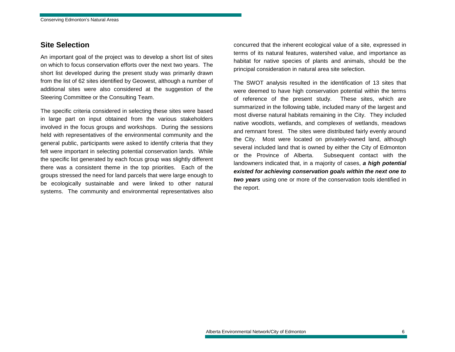# **Site Selection**

An important goal of the project was to develop a short list of sites on which to focus conservation efforts over the next two years. The short list developed during the present study was primarily drawn from the list of 62 sites identified by Geowest, although a number of additional sites were also considered at the suggestion of the Steering Committee or the Consulting Team.

The specific criteria considered in selecting these sites were based in large part on input obtained from the various stakeholders involved in the focus groups and workshops. During the sessions held with representatives of the environmental community and the general public, participants were asked to identify criteria that they felt were important in selecting potential conservation lands. While the specific list generated by each focus group was slightly different there was a consistent theme in the top priorities. Each of the groups stressed the need for land parcels that were large enough to be ecologically sustainable and were linked to other natural systems. The community and environmental representatives also concurred that the inherent ecological value of a site, expressed in terms of its natural features, watershed value, and importance as habitat for native species of plants and animals, should be the principal consideration in natural area site selection.

The SWOT analysis resulted in the identification of 13 sites that were deemed to have high conservation potential within the terms of reference of the present study. These sites, which are summarized in the following table, included many of the largest and most diverse natural habitats remaining in the City. They included native woodlots, wetlands, and complexes of wetlands, meadows and remnant forest. The sites were distributed fairly evenly around the City. Most were located on privately-owned land, although several included land that is owned by either the City of Edmonton or the Province of Alberta. Subsequent contact with the landowners indicated that, in a majority of cases, *a high potential existed for achieving conservation goals within the next one to two years* using one or more of the conservation tools identified in the report.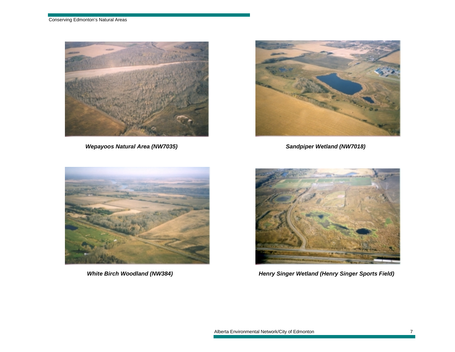

 *Wepayoos Natural Area (NW7035) Sandpiper Wetland (NW7018)*







*White Birch Woodland (NW384)* Most and the Henry Singer Wetland (Henry Singer Sports Field)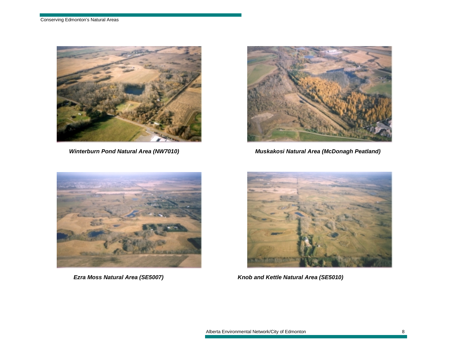



 *Winterburn Pond Natural Area (NW7010) Muskakosi Natural Area (McDonagh Peatland)*





*Ezra Moss Natural Area (SE5007) Knob and Kettle Natural Area (SE5010)*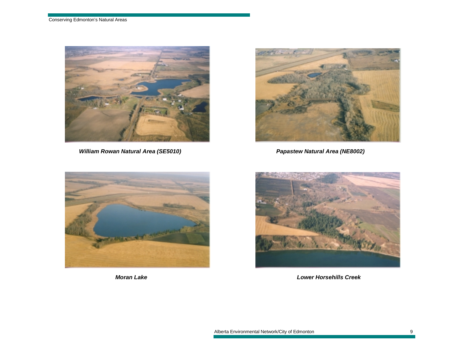

 *William Rowan Natural Area (SE5010) Papastew Natural Area (NE8002)*







 *Moran Lake Lower Horsehills Creek*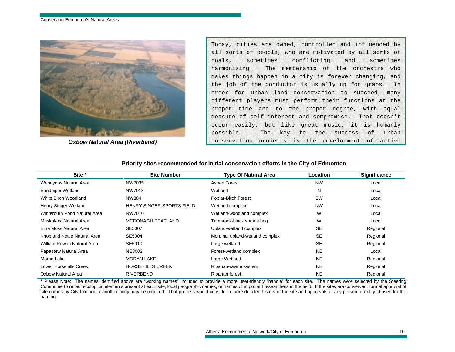

*Oxbow Natural Area (Riverbend)*

Today, cities are owned, controlled and influenced by all sorts of people, who are motivated by all sorts of goals, sometimes conflicting and sometimes harmonizing. The membership of the orchestra who makes things happen in <sup>a</sup> city is forever changing, and the job of the conductor is usually up for grabs. In order for urban land conservation to succeed, many different players must perform their functions at the proper time and to the proper degree, with equal measure of self-interest and compromise. That doesn't occur easily, but like great music, it is humanly possible. The key to the success of urban conservation projects is the development of active

| Site *                       | <b>Site Number</b>        | <b>Type Of Natural Area</b>     | Location  | Significance |
|------------------------------|---------------------------|---------------------------------|-----------|--------------|
| Wepayoos Natural Area        | NW7035                    | Aspen Forest                    | <b>NW</b> | Local        |
| Sandpiper Wetland            | NW7018                    | Wetland                         | N         | Local        |
| White Birch Woodland         | NW384                     | Poplar-Birch Forest             | <b>SW</b> | Local        |
| Henry Singer Wetland         | HENRY SINGER SPORTS FIELD | Wetland complex                 | <b>NW</b> | Local        |
| Winterburn Pond Natural Area | NW7010                    | Wetland-woodland complex        | W         | Local        |
| Muskakosi Natural Area       | MCDONAGH PEATLAND         | Tamarack-black spruce bog       | W         | Local        |
| Ezra Moss Natural Area       | <b>SE5007</b>             | Upland-wetland complex          | <b>SE</b> | Regional     |
| Knob and Kettle Natural Area | SE5004                    | Morainal upland-wetland complex | <b>SE</b> | Regional     |
| William Rowan Natural Area   | SE5010                    | Large wetland                   | <b>SE</b> | Regional     |
| Papastew Natural Area        | NE8002                    | Forest-wetland complex          | <b>NE</b> | Local        |
| Moran Lake                   | <b>MORAN LAKE</b>         | Large Wetland                   | <b>NE</b> | Regional     |
| Lower Horsehills Creek       | <b>HORSEHILLS CREEK</b>   | Riparian-ravine system          | <b>NE</b> | Regional     |
| Oxbow Natural Area           | <b>RIVERBEND</b>          | <b>Riparian forest</b>          | <b>NE</b> | Regional     |

#### **Priority sites recommended for initial conservation efforts in the City of Edmonton**

\* Please Note: The names identified above are "working names" included to provide a more user-friendly "handle" for each site. The names were selected by the Steering Committee to reflect ecological elements present at each site, local geographic names, or names of important researchers in the field. If the sites are conserved, formal approval of site names by City Council or another body may be required. That process would consider a more detailed history of the site and approvals of any person or entity chosen for the naming.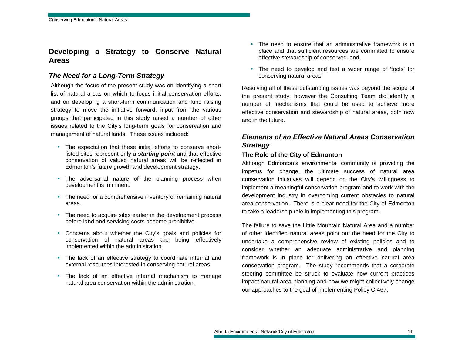# **Developing a Strategy to Conserve Natural Areas**

# *The Need for a Long-Term Strategy*

Although the focus of the present study was on identifying a short list of natural areas on which to focus initial conservation efforts, and on developing a short-term communication and fund raising strategy to move the initiative forward, input from the various groups that participated in this study raised a number of other issues related to the City's long-term goals for conservation and management of natural lands. These issues included:

- The expectation that these initial efforts to conserve shortlisted sites represent only a *starting point* and that effective conservation of valued natural areas will be reflected in Edmonton's future growth and development strategy.
- The adversarial nature of the planning process when development is imminent.
- The need for a comprehensive inventory of remaining natural areas.
- The need to acquire sites earlier in the development process before land and servicing costs become prohibitive.
- Concerns about whether the City's goals and policies for conservation of natural areas are being effectively implemented within the administration.
- The lack of an effective strategy to coordinate internal and external resources interested in conserving natural areas.
- The lack of an effective internal mechanism to manage natural area conservation within the administration.
- The need to ensure that an administrative framework is in place and that sufficient resources are committed to ensure effective stewardship of conserved land.
- The need to develop and test a wider range of 'tools' for conserving natural areas.

Resolving all of these outstanding issues was beyond the scope of the present study, however the Consulting Team did identify a number of mechanisms that could be used to achieve more effective conservation and stewardship of natural areas, both now and in the future.

# *Elements of an Effective Natural Areas Conservation Strategy*

#### **The Role of the City of Edmonton**

Although Edmonton's environmental community is providing the impetus for change, the ultimate success of natural area conservation initiatives will depend on the City's willingness to implement a meaningful conservation program and to work with the development industry in overcoming current obstacles to natural area conservation. There is a clear need for the City of Edmonton to take a leadership role in implementing this program.

The failure to save the Little Mountain Natural Area and a number of other identified natural areas point out the need for the City to undertake a comprehensive review of existing policies and to consider whether an adequate administrative and planning framework is in place for delivering an effective natural area conservation program. The study recommends that a corporate steering committee be struck to evaluate how current practices impact natural area planning and how we might collectively change our approaches to the goal of implementing Policy C-467.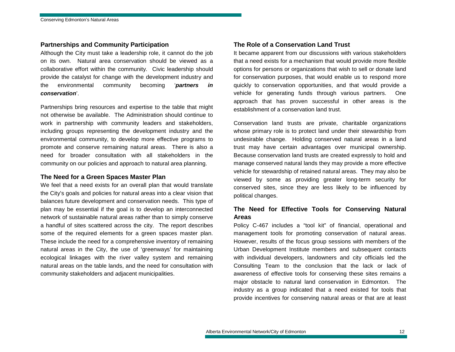#### **Partnerships and Community Participation**

Although the City must take a leadership role, it cannot do the job on its own. Natural area conservation should be viewed as a collaborative effort within the community. Civic leadership should provide the catalyst for change with the development industry and the environmental community becoming '*partners in conservation*'.

Partnerships bring resources and expertise to the table that might not otherwise be available. The Administration should continue to work in partnership with community leaders and stakeholders, including groups representing the development industry and the environmental community, to develop more effective programs to promote and conserve remaining natural areas. There is also a need for broader consultation with all stakeholders in the community on our policies and approach to natural area planning.

#### **The Need for a Green Spaces Master Plan**

We feel that a need exists for an overall plan that would translate the City's goals and policies for natural areas into a clear vision that balances future development and conservation needs. This type of plan may be essential if the goal is to develop an interconnected network of sustainable natural areas rather than to simply conserve a handful of sites scattered across the city. The report describes some of the required elements for a green spaces master plan. These include the need for a comprehensive inventory of remaining natural areas in the City, the use of 'greenways' for maintaining ecological linkages with the river valley system and remaining natural areas on the table lands, and the need for consultation with community stakeholders and adjacent municipalities.

#### **The Role of a Conservation Land Trust**

It became apparent from our discussions with various stakeholders that a need exists for a mechanism that would provide more flexible options for persons or organizations that wish to sell or donate land for conservation purposes, that would enable us to respond more quickly to conservation opportunities, and that would provide a vehicle for generating funds through various partners. One approach that has proven successful in other areas is the establishment of a conservation land trust.

Conservation land trusts are private, charitable organizations whose primary role is to protect land under their stewardship from undesirable change. Holding conserved natural areas in a land trust may have certain advantages over municipal ownership. Because conservation land trusts are created expressly to hold and manage conserved natural lands they may provide a more effective vehicle for stewardship of retained natural areas. They may also be viewed by some as providing greater long-term security for conserved sites, since they are less likely to be influenced by political changes.

# **The Need for Effective Tools for Conserving Natural Areas**

Policy C-467 includes a "tool kit" of financial, operational and management tools for promoting conservation of natural areas. However, results of the focus group sessions with members of the Urban Development Institute members and subsequent contacts with individual developers, landowners and city officials led the Consulting Team to the conclusion that the lack or lack of awareness of effective tools for conserving these sites remains a major obstacle to natural land conservation in Edmonton. The industry as a group indicated that a need existed for tools that provide incentives for conserving natural areas or that are at least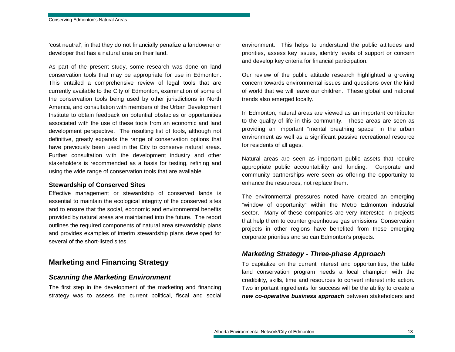'cost neutral', in that they do not financially penalize a landowner or developer that has a natural area on their land.

As part of the present study, some research was done on land conservation tools that may be appropriate for use in Edmonton. This entailed a comprehensive review of legal tools that are currently available to the City of Edmonton, examination of some of the conservation tools being used by other jurisdictions in North America, and consultation with members of the Urban Development Institute to obtain feedback on potential obstacles or opportunities associated with the use of these tools from an economic and land development perspective. The resulting list of tools, although not definitive, greatly expands the range of conservation options that have previously been used in the City to conserve natural areas. Further consultation with the development industry and other stakeholders is recommended as a basis for testing, refining and using the wide range of conservation tools that are available.

#### **Stewardship of Conserved Sites**

Effective management or stewardship of conserved lands is essential to maintain the ecological integrity of the conserved sites and to ensure that the social, economic and environmental benefits provided by natural areas are maintained into the future. The report outlines the required components of natural area stewardship plans and provides examples of interim stewardship plans developed for several of the short-listed sites.

# **Marketing and Financing Strategy**

#### *Scanning the Marketing Environment*

The first step in the development of the marketing and financing strategy was to assess the current political, fiscal and social environment. This helps to understand the public attitudes and priorities, assess key issues, identify levels of support or concern and develop key criteria for financial participation.

Our review of the public attitude research highlighted a growing concern towards environmental issues and questions over the kind of world that we will leave our children. These global and national trends also emerged locally.

In Edmonton, natural areas are viewed as an important contributor to the quality of life in this community. These areas are seen as providing an important "mental breathing space" in the urban environment as well as a significant passive recreational resource for residents of all ages.

Natural areas are seen as important public assets that require appropriate public accountability and funding. Corporate and community partnerships were seen as offering the opportunity to enhance the resources, not replace them.

The environmental pressures noted have created an emerging "window of opportunity" within the Metro Edmonton industrial sector. Many of these companies are very interested in projects that help them to counter greenhouse gas emissions. Conservation projects in other regions have benefited from these emerging corporate priorities and so can Edmonton's projects.

### *Marketing Strategy - Three-phase Approach*

To capitalize on the current interest and opportunities, the table land conservation program needs a local champion with the credibility, skills, time and resources to convert interest into action. Two important ingredients for success will be the ability to create a *new co-operative business approach* between stakeholders and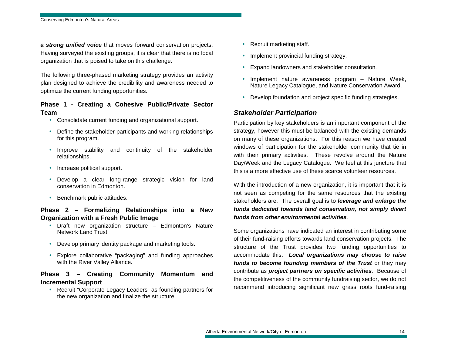*a strong unified voice* that moves forward conservation projects. Having surveyed the existing groups, it is clear that there is no local organization that is poised to take on this challenge.

The following three-phased marketing strategy provides an activity plan designed to achieve the credibility and awareness needed to optimize the current funding opportunities.

### **Phase 1 - Creating a Cohesive Public/Private Sector Team**

- Consolidate current funding and organizational support.
- Define the stakeholder participants and working relationships for this program.
- Improve stability and continuity of the stakeholder relationships.
- Increase political support.
- Develop a clear long-range strategic vision for land conservation in Edmonton.
- •Benchmark public attitudes.

# **Phase 2 – Formalizing Relationships into a New Organization with a Fresh Public Image**

- Draft new organization structure Edmonton's Nature Network Land Trust.
- Develop primary identity package and marketing tools.
- Explore collaborative "packaging" and funding approaches with the River Valley Alliance.

# **Phase 3 – Creating Community Momentum and Incremental Support**

• Recruit "Corporate Legacy Leaders" as founding partners for the new organization and finalize the structure.

- Recruit marketing staff.
- •Implement provincial funding strategy.
- •Expand landowners and stakeholder consultation.
- • Implement nature awareness program – Nature Week, Nature Legacy Catalogue, and Nature Conservation Award.
- •Develop foundation and project specific funding strategies.

### *Stakeholder Participation*

Participation by key stakeholders is an important component of the strategy, however this must be balanced with the existing demands on many of these organizations. For this reason we have created windows of participation for the stakeholder community that tie in with their primary activities. These revolve around the Nature Day/Week and the Legacy Catalogue. We feel at this juncture that this is a more effective use of these scarce volunteer resources.

With the introduction of a new organization, it is important that it is not seen as competing for the same resources that the existing stakeholders are. The overall goal is to *leverage and enlarge the funds dedicated towards land conservation, not simply divert funds from other environmental activities.*

Some organizations have indicated an interest in contributing some of their fund-raising efforts towards land conservation projects. The structure of the Trust provides two funding opportunities to accommodate this. *Local organizations may choose to raise funds to become founding members of the Trust* or they may contribute as *project partners on specific activities*. Because of the competitiveness of the community fundraising sector, we do not recommend introducing significant new grass roots fund-raising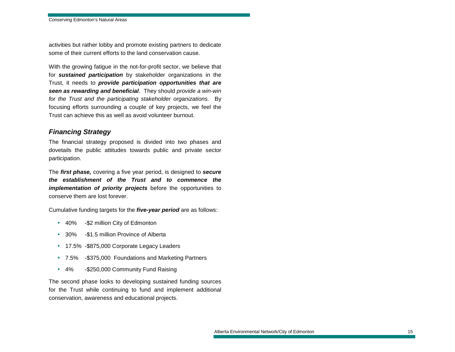activities but rather lobby and promote existing partners to dedicate some of their current efforts to the land conservation cause.

With the growing fatigue in the not-for-profit sector, we believe that for *sustained participation* by stakeholder organizations in the Trust, it needs to *provide participation opportunities that are seen as rewarding and beneficial*. They should *provide a win-win for the Trust and the participating stakeholder organizations.* By focusing efforts surrounding a couple of key projects, we feel the Trust can achieve this as well as avoid volunteer burnout.

# *Financing Strategy*

The financial strategy proposed is divided into two phases and dovetails the public attitudes towards public and private sector participation.

The *first phase,* covering a five year period, is designed to *secure the establishment of the Trust and to commence the implementation of priority projects* before the opportunities to conserve them are lost forever.

Cumulative funding targets for the *five-year period* are as follows:

- 40% -\$2 million City of Edmonton
- $\bullet$  30% -\$1.5 million Province of Alberta
- 17.5% -\$875,000 Corporate Legacy Leaders
- $\bullet$ 7.5% -\$375,000 Foundations and Marketing Partners
- 4% 4% -\$250,000 Community Fund Raising

The second phase looks to developing sustained funding sources for the Trust while continuing to fund and implement additional conservation, awareness and educational projects.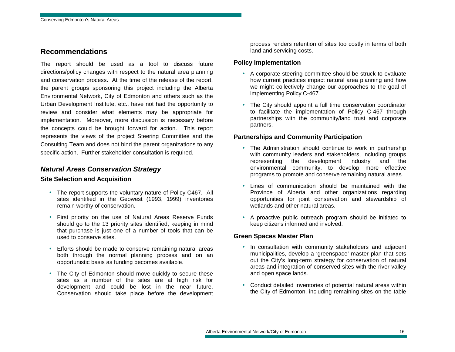# **Recommendations**

The report should be used as a tool to discuss future directions/policy changes with respect to the natural area planning and conservation process. At the time of the release of the report, the parent groups sponsoring this project including the Alberta Environmental Network, City of Edmonton and others such as the Urban Development Institute, etc., have not had the opportunity to review and consider what elements may be appropriate for implementation. Moreover, more discussion is necessary before the concepts could be brought forward for action. This report represents the views of the project Steering Committee and the Consulting Team and does not bind the parent organizations to any specific action. Further stakeholder consultation is required.

# *Natural Areas Conservation Strategy*

#### **Site Selection and Acquisition**

- The report supports the voluntary nature of Policy-C467. All sites identified in the Geowest (1993, 1999) inventories remain worthy of conservation.
- First priority on the use of Natural Areas Reserve Funds should go to the 13 priority sites identified, keeping in mind that purchase is just one of a number of tools that can be used to conserve sites.
- Efforts should be made to conserve remaining natural areas both through the normal planning process and on an opportunistic basis as funding becomes available.
- The City of Edmonton should move quickly to secure these sites as a number of the sites are at high risk for development and could be lost in the near future. Conservation should take place before the development

process renders retention of sites too costly in terms of both land and servicing costs.

#### **Policy Implementation**

- A corporate steering committee should be struck to evaluate how current practices impact natural area planning and how we might collectively change our approaches to the goal of implementing Policy C-467.
- The City should appoint a full time conservation coordinator to facilitate the implementation of Policy C-467 through partnerships with the community/land trust and corporate partners.

#### **Partnerships and Community Participation**

- The Administration should continue to work in partnership with community leaders and stakeholders, including groups representing the development industry and the environmental community, to develop more effective programs to promote and conserve remaining natural areas.
- Lines of communication should be maintained with the Province of Alberta and other organizations regarding opportunities for joint conservation and stewardship of wetlands and other natural areas.
- A proactive public outreach program should be initiated to keep citizens informed and involved.

#### **Green Spaces Master Plan**

- In consultation with community stakeholders and adjacent municipalities, develop a 'greenspace' master plan that sets out the City's long-term strategy for conservation of natural areas and integration of conserved sites with the river valley and open space lands.
- Conduct detailed inventories of potential natural areas within the City of Edmonton, including remaining sites on the table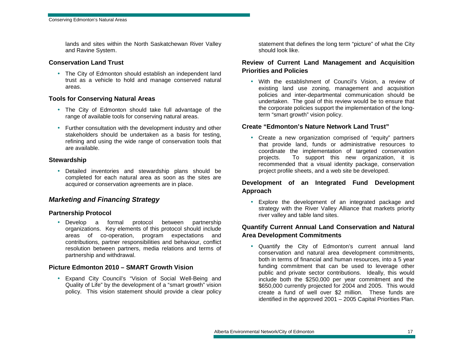lands and sites within the North Saskatchewan River Valley and Ravine System.

#### **Conservation Land Trust**

• The City of Edmonton should establish an independent land trust as a vehicle to hold and manage conserved natural areas.

#### **Tools for Conserving Natural Areas**

- The City of Edmonton should take full advantage of the range of available tools for conserving natural areas.
- Further consultation with the development industry and other stakeholders should be undertaken as a basis for testing, refining and using the wide range of conservation tools that are available.

#### **Stewardship**

• Detailed inventories and stewardship plans should be completed for each natural area as soon as the sites are acquired or conservation agreements are in place.

# *Marketing and Financing Strategy*

#### **Partnership Protocol**

• Develop a formal protocol between partnership organizations. Key elements of this protocol should include areas of co-operation, program expectations and contributions, partner responsibilities and behaviour, conflict resolution between partners, media relations and terms of partnership and withdrawal.

#### **Picture Edmonton 2010 – SMART Growth Vision**

• Expand City Council's "Vision of Social Well-Being and Quality of Life" by the development of a "smart growth" vision policy. This vision statement should provide a clear policy statement that defines the long term "picture" of what the City should look like.

# **Review of Current Land Management and Acquisition Priorities and Policies**

• With the establishment of Council's Vision, a review of existing land use zoning, management and acquisition policies and inter-departmental communication should be undertaken. The goal of this review would be to ensure that the corporate policies support the implementation of the longterm "smart growth" vision policy.

### **Create "Edmonton's Nature Network Land Trust"**

• Create a new organization comprised of "equity" partners that provide land, funds or administrative resources to coordinate the implementation of targeted conservation projects. To support this new organization, it is recommended that a visual identity package, conservation project profile sheets, and a web site be developed.

# **Development of an Integrated Fund Development Approach**

• Explore the development of an integrated package and strategy with the River Valley Alliance that markets priority river valley and table land sites.

# **Quantify Current Annual Land Conservation and Natural Area Development Commitments**

• Quantify the City of Edmonton's current annual land conservation and natural area development commitments, both in terms of financial and human resources, into a 5 year funding commitment that can be used to leverage other public and private sector contributions. Ideally, this would include both the \$250,000 per year commitment and the \$650,000 currently projected for 2004 and 2005. This would create a fund of well over \$2 million. These funds are identified in the approved 2001 – 2005 Capital Priorities Plan.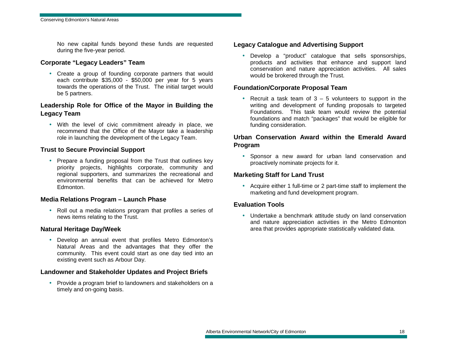No new capital funds beyond these funds are requested during the five-year period.

#### **Corporate "Legacy Leaders" Team**

• Create a group of founding corporate partners that would each contribute \$35,000 - \$50,000 per year for 5 years towards the operations of the Trust. The initial target would be 5 partners.

# **Leadership Role for Office of the Mayor in Building the Legacy Team**

• With the level of civic commitment already in place, we recommend that the Office of the Mayor take a leadership role in launching the development of the Legacy Team.

#### **Trust to Secure Provincial Support**

• Prepare a funding proposal from the Trust that outlines key priority projects, highlights corporate, community and regional supporters, and summarizes the recreational and environmental benefits that can be achieved for Metro Edmonton.

#### **Media Relations Program – Launch Phase**

• Roll out a media relations program that profiles a series of news items relating to the Trust.

#### **Natural Heritage Day/Week**

• Develop an annual event that profiles Metro Edmonton's Natural Areas and the advantages that they offer the community. This event could start as one day tied into an existing event such as Arbour Day.

#### **Landowner and Stakeholder Updates and Project Briefs**

• Provide a program brief to landowners and stakeholders on a timely and on-going basis.

#### **Legacy Catalogue and Advertising Support**

• Develop a "product" catalogue that sells sponsorships, products and activities that enhance and support land conservation and nature appreciation activities. All sales would be brokered through the Trust.

#### **Foundation/Corporate Proposal Team**

• Recruit a task team of 3 – 5 volunteers to support in the writing and development of funding proposals to targeted Foundations. This task team would review the potential foundations and match "packages" that would be eligible for funding consideration.

#### **Urban Conservation Award within the Emerald Award Program**

• Sponsor a new award for urban land conservation and proactively nominate projects for it.

# **Marketing Staff for Land Trust**

• Acquire either 1 full-time or 2 part-time staff to implement the marketing and fund development program.

#### **Evaluation Tools**

• Undertake a benchmark attitude study on land conservation and nature appreciation activities in the Metro Edmonton area that provides appropriate statistically validated data.